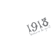